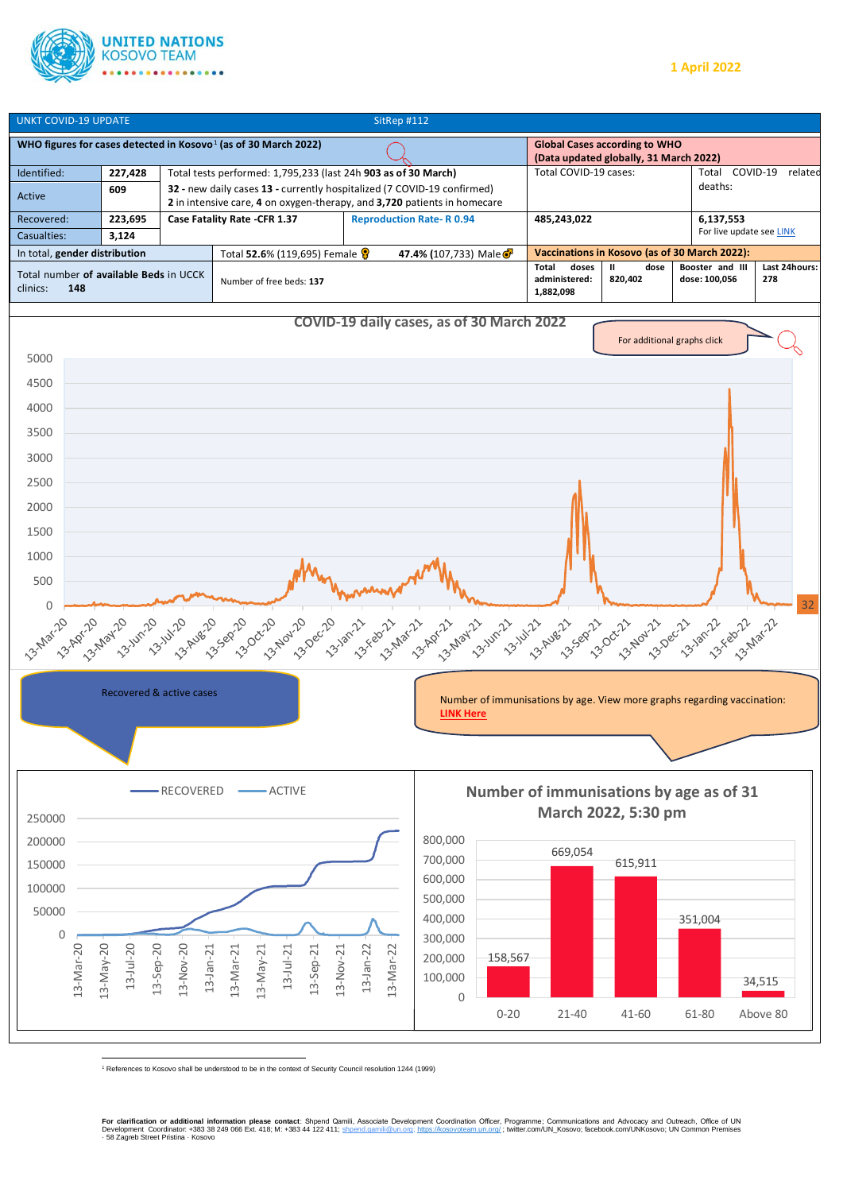





<sup>1</sup> References to Kosovo shall be understood to be in the context of Security Council resolution 1244 (1999)

**For clarification or additional information please contact**: Shpend Qamili, Associate Development Coordination Officer, Programme; Communications and Advocacy and Outreach, Office of UN<br>Development Coordinator: +383 38 2